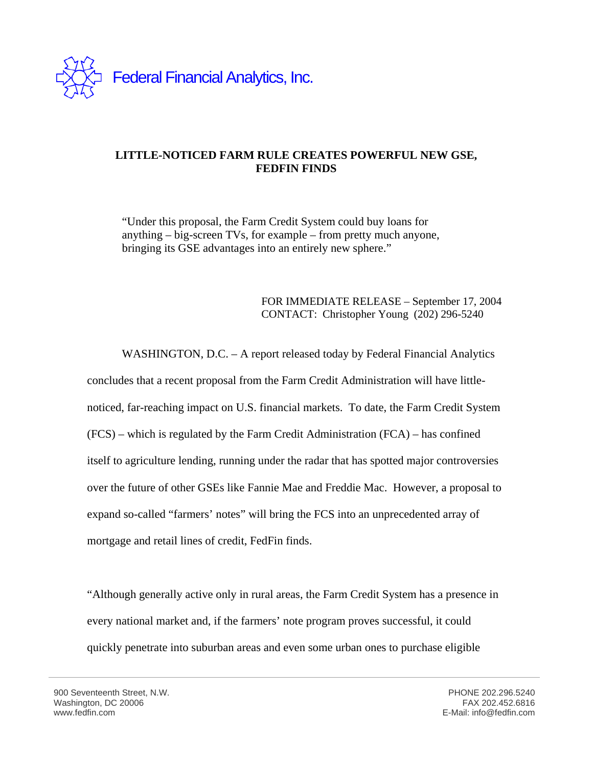

## **LITTLE-NOTICED FARM RULE CREATES POWERFUL NEW GSE, FEDFIN FINDS**

"Under this proposal, the Farm Credit System could buy loans for anything – big-screen TVs, for example – from pretty much anyone, bringing its GSE advantages into an entirely new sphere."

## FOR IMMEDIATE RELEASE – September 17, 2004 CONTACT: Christopher Young (202) 296-5240

WASHINGTON, D.C. – A report released today by Federal Financial Analytics concludes that a recent proposal from the Farm Credit Administration will have littlenoticed, far-reaching impact on U.S. financial markets. To date, the Farm Credit System (FCS) – which is regulated by the Farm Credit Administration (FCA) – has confined itself to agriculture lending, running under the radar that has spotted major controversies over the future of other GSEs like Fannie Mae and Freddie Mac. However, a proposal to expand so-called "farmers' notes" will bring the FCS into an unprecedented array of mortgage and retail lines of credit, FedFin finds.

"Although generally active only in rural areas, the Farm Credit System has a presence in every national market and, if the farmers' note program proves successful, it could quickly penetrate into suburban areas and even some urban ones to purchase eligible